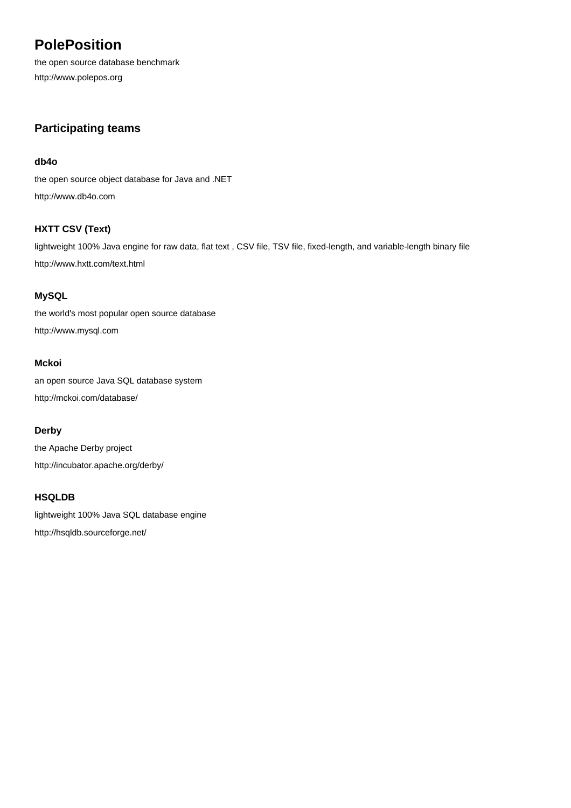# **PolePosition**

the open source database benchmark <http://www.polepos.org>

## **Participating teams**

#### **[db4o](http://www.db4o.com)**

[the open source object database for Java and .NET](http://www.db4o.com) <http://www.db4o.com>

## **[HXTT CSV \(Text\)](http://www.hxtt.com/text.html)**

[lightweight 100% Java engine for raw data, flat text , CSV file, TSV file, fixed-length, and variable-length binary file](http://www.hxtt.com/text.html) <http://www.hxtt.com/text.html>

## **[MySQL](http://www.mysql.com)**

[the world's most popular open source database](http://www.mysql.com) <http://www.mysql.com>

## **[Mckoi](http://mckoi.com/database/)**

[an open source Java SQL database system](http://mckoi.com/database/) <http://mckoi.com/database/>

#### **[Derby](http://incubator.apache.org/derby/)**

[the Apache Derby project](http://incubator.apache.org/derby/) <http://incubator.apache.org/derby/>

## **[HSQLDB](http://hsqldb.sourceforge.net/)**

[lightweight 100% Java SQL database engine](http://hsqldb.sourceforge.net/) <http://hsqldb.sourceforge.net/>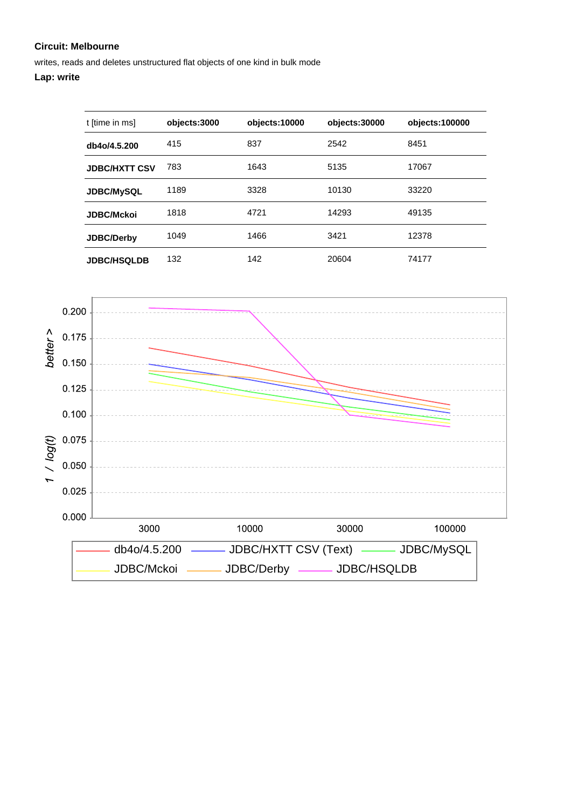writes, reads and deletes unstructured flat objects of one kind in bulk mode

| t [time in ms]       | objects:3000 | objects:10000 | objects:30000 | objects: 100000 |
|----------------------|--------------|---------------|---------------|-----------------|
| db4o/4.5.200         | 415          | 837           | 2542          | 8451            |
| <b>JDBC/HXTT CSV</b> | 783          | 1643          | 5135          | 17067           |
| <b>JDBC/MySQL</b>    | 1189         | 3328          | 10130         | 33220           |
| <b>JDBC/Mckoi</b>    | 1818         | 4721          | 14293         | 49135           |
| <b>JDBC/Derby</b>    | 1049         | 1466          | 3421          | 12378           |
| <b>JDBC/HSQLDB</b>   | 132          | 142           | 20604         | 74177           |

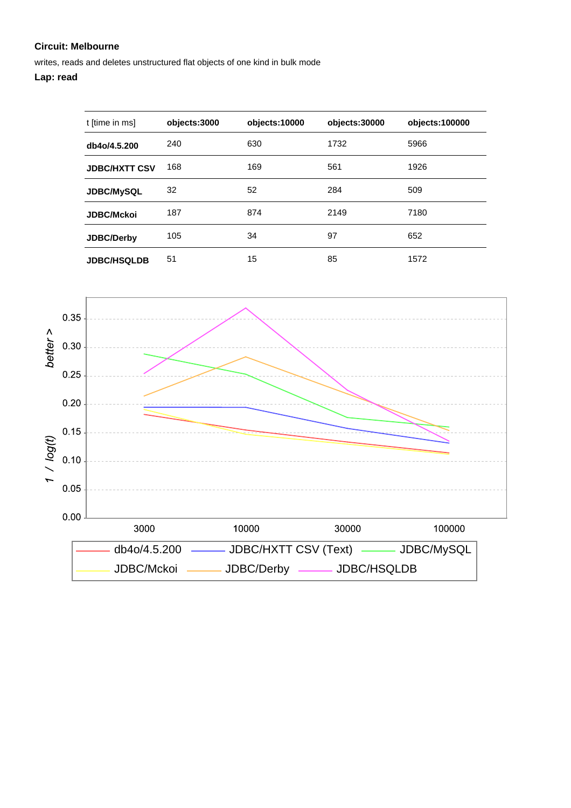writes, reads and deletes unstructured flat objects of one kind in bulk mode

## **Lap: read**

| t [time in ms]       | objects:3000 | objects:10000 | objects:30000 | objects:100000 |
|----------------------|--------------|---------------|---------------|----------------|
| db4o/4.5.200         | 240          | 630           | 1732          | 5966           |
| <b>JDBC/HXTT CSV</b> | 168          | 169           | 561           | 1926           |
| <b>JDBC/MySQL</b>    | 32           | 52            | 284           | 509            |
| <b>JDBC/Mckoi</b>    | 187          | 874           | 2149          | 7180           |
| <b>JDBC/Derby</b>    | 105          | 34            | 97            | 652            |
| <b>JDBC/HSQLDB</b>   | 51           | 15            | 85            | 1572           |

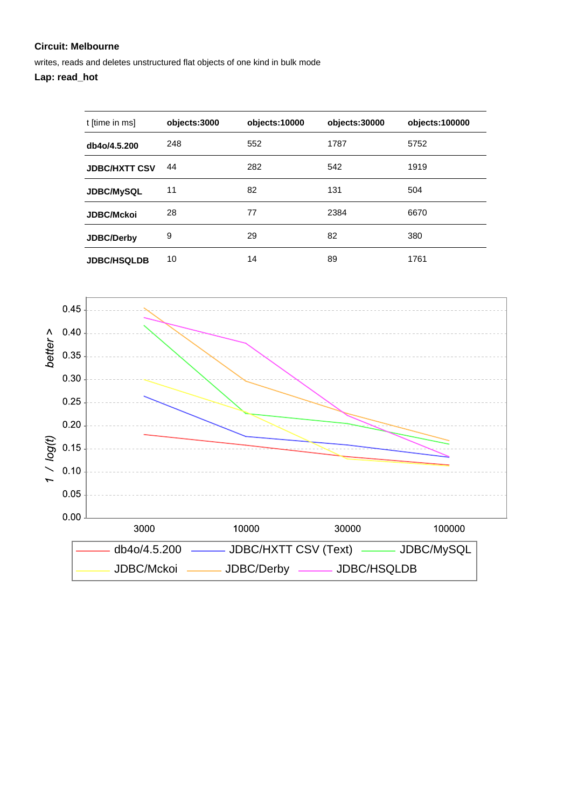writes, reads and deletes unstructured flat objects of one kind in bulk mode

## **Lap: read\_hot**

| t [time in ms]       | objects:3000 | objects:10000 | objects:30000 | objects:100000 |
|----------------------|--------------|---------------|---------------|----------------|
| db4o/4.5.200         | 248          | 552           | 1787          | 5752           |
| <b>JDBC/HXTT CSV</b> | 44           | 282           | 542           | 1919           |
| <b>JDBC/MySQL</b>    | 11           | 82            | 131           | 504            |
| <b>JDBC/Mckoi</b>    | 28           | 77            | 2384          | 6670           |
| <b>JDBC/Derby</b>    | 9            | 29            | 82            | 380            |
| <b>JDBC/HSQLDB</b>   | 10           | 14            | 89            | 1761           |

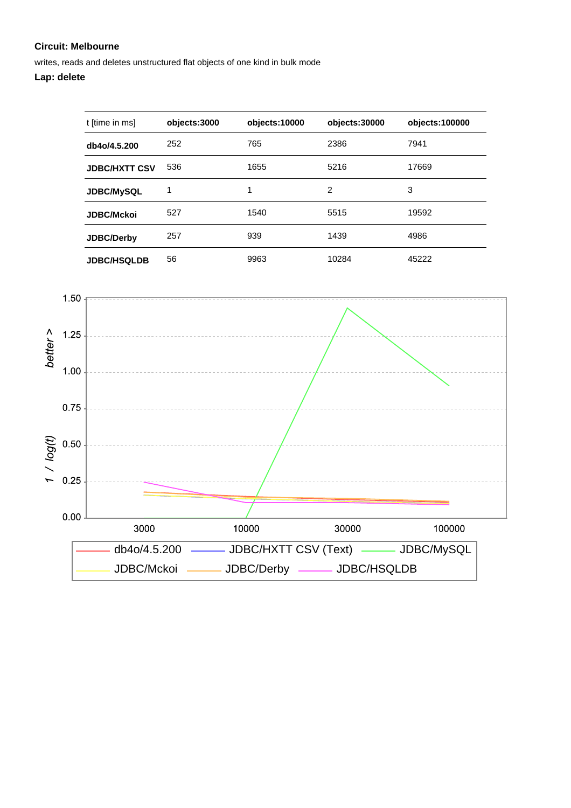writes, reads and deletes unstructured flat objects of one kind in bulk mode

| t [time in ms]       | objects:3000 | objects:10000 | objects:30000  | objects:100000 |
|----------------------|--------------|---------------|----------------|----------------|
| db4o/4.5.200         | 252          | 765           | 2386           | 7941           |
| <b>JDBC/HXTT CSV</b> | 536          | 1655          | 5216           | 17669          |
| <b>JDBC/MySQL</b>    | 1            | 1             | $\mathfrak{p}$ | 3              |
| <b>JDBC/Mckoi</b>    | 527          | 1540          | 5515           | 19592          |
| <b>JDBC/Derby</b>    | 257          | 939           | 1439           | 4986           |
| <b>JDBC/HSQLDB</b>   | 56           | 9963          | 10284          | 45222          |

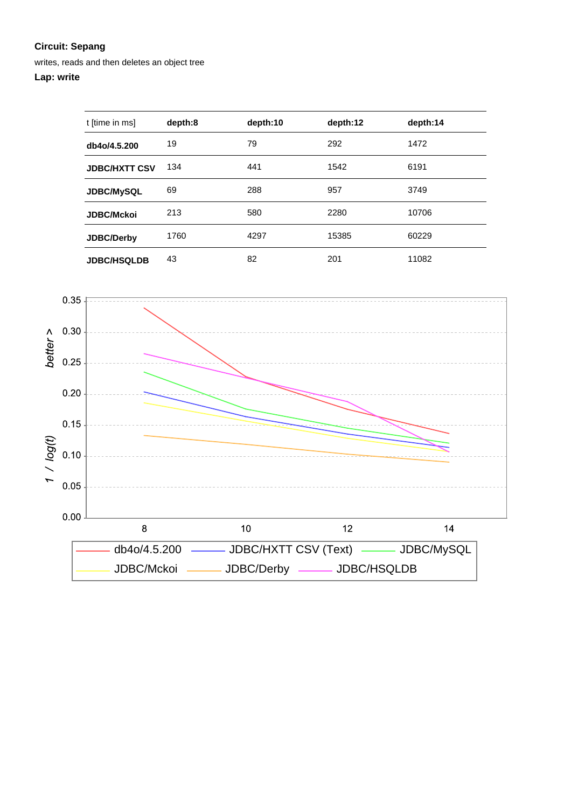writes, reads and then deletes an object tree

| t [time in ms]       | depth:8 | depth:10 | depth:12 | depth:14 |
|----------------------|---------|----------|----------|----------|
| db4o/4.5.200         | 19      | 79       | 292      | 1472     |
| <b>JDBC/HXTT CSV</b> | 134     | 441      | 1542     | 6191     |
| <b>JDBC/MySQL</b>    | 69      | 288      | 957      | 3749     |
| <b>JDBC/Mckoi</b>    | 213     | 580      | 2280     | 10706    |
| JDBC/Derby           | 1760    | 4297     | 15385    | 60229    |
| <b>JDBC/HSQLDB</b>   | 43      | 82       | 201      | 11082    |

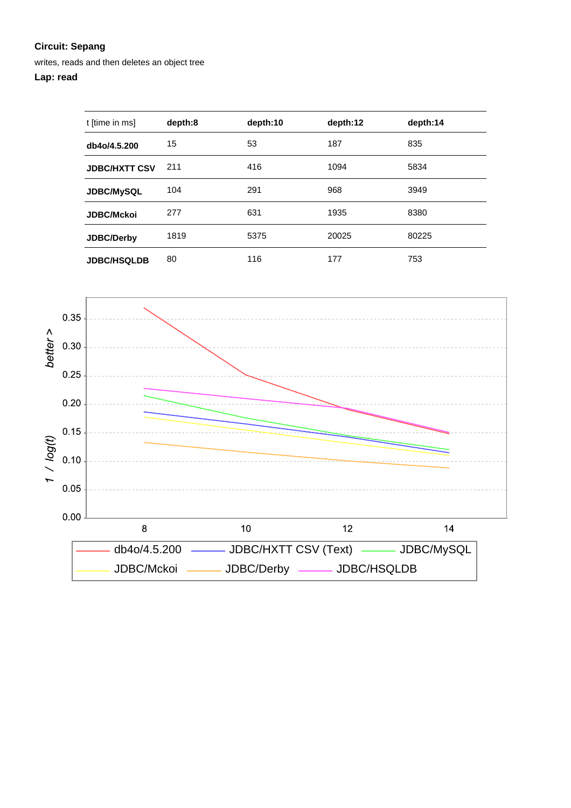writes, reads and then deletes an object tree

## **Lap: read**

| t [time in ms]       | depth:8 | depth:10 | depth:12 | depth:14 |
|----------------------|---------|----------|----------|----------|
| db4o/4.5.200         | 15      | 53       | 187      | 835      |
| <b>JDBC/HXTT CSV</b> | 211     | 416      | 1094     | 5834     |
| <b>JDBC/MySQL</b>    | 104     | 291      | 968      | 3949     |
| <b>JDBC/Mckoi</b>    | 277     | 631      | 1935     | 8380     |
| <b>JDBC/Derby</b>    | 1819    | 5375     | 20025    | 80225    |
| <b>JDBC/HSQLDB</b>   | 80      | 116      | 177      | 753      |

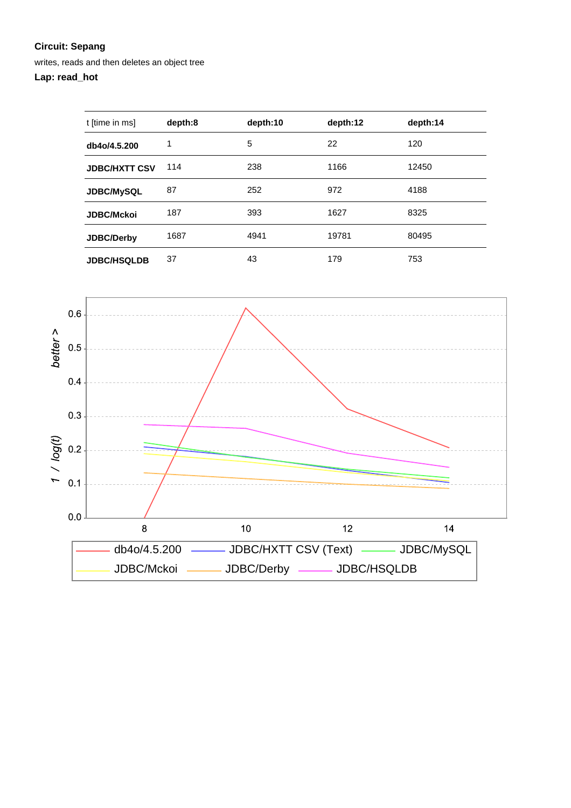writes, reads and then deletes an object tree

## **Lap: read\_hot**

| t [time in ms]       | depth:8 | depth:10 | depth:12 | depth:14 |
|----------------------|---------|----------|----------|----------|
| db4o/4.5.200         | 1       | 5        | 22       | 120      |
| <b>JDBC/HXTT CSV</b> | 114     | 238      | 1166     | 12450    |
| <b>JDBC/MySQL</b>    | 87      | 252      | 972      | 4188     |
| <b>JDBC/Mckoi</b>    | 187     | 393      | 1627     | 8325     |
| JDBC/Derby           | 1687    | 4941     | 19781    | 80495    |
| <b>JDBC/HSQLDB</b>   | 37      | 43       | 179      | 753      |

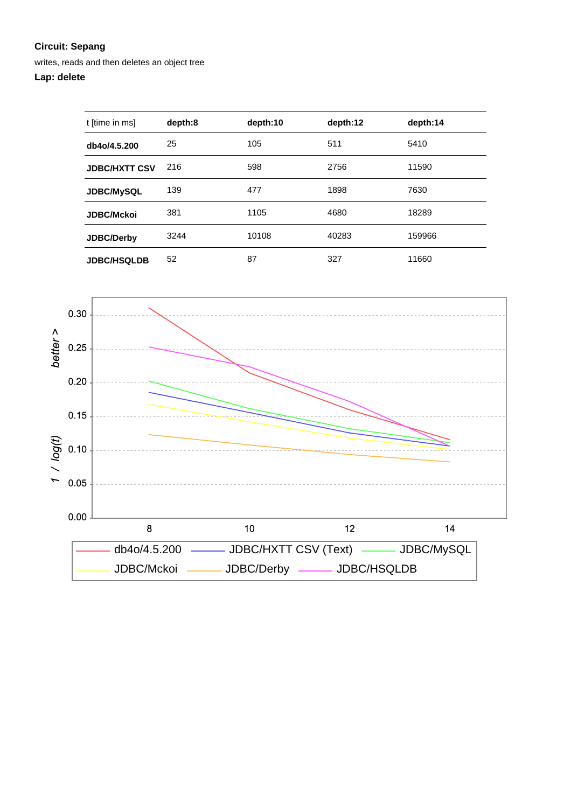writes, reads and then deletes an object tree

| t [time in ms]       | depth:8 | depth:10 | depth:12 | depth:14 |
|----------------------|---------|----------|----------|----------|
| db4o/4.5.200         | 25      | 105      | 511      | 5410     |
| <b>JDBC/HXTT CSV</b> | 216     | 598      | 2756     | 11590    |
| JDBC/MySQL           | 139     | 477      | 1898     | 7630     |
| <b>JDBC/Mckoi</b>    | 381     | 1105     | 4680     | 18289    |
| <b>JDBC/Derby</b>    | 3244    | 10108    | 40283    | 159966   |
| <b>JDBC/HSQLDB</b>   | 52      | 87       | 327      | 11660    |

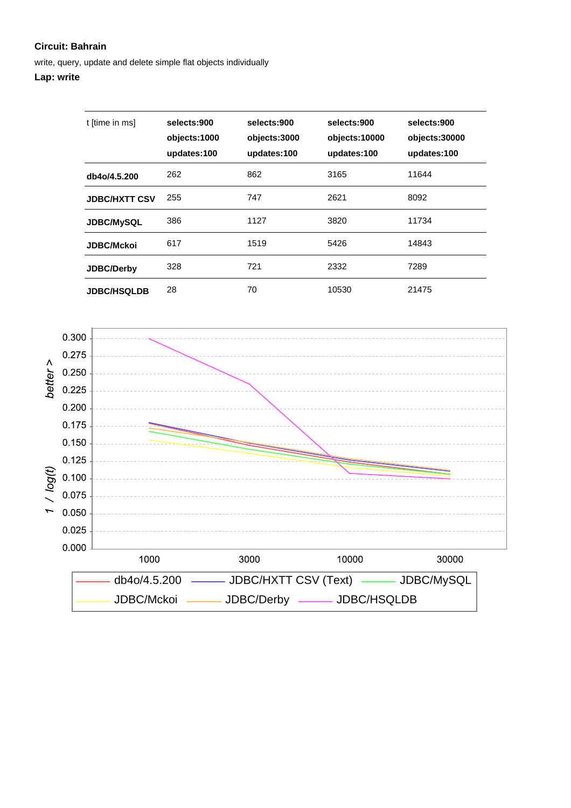write, query, update and delete simple flat objects individually

| t [time in ms]       | selects:900<br>objects:1000<br>updates:100 | selects:900<br>objects:3000<br>updates:100 | selects:900<br>objects:10000<br>updates:100 | selects:900<br>objects:30000<br>updates:100 |
|----------------------|--------------------------------------------|--------------------------------------------|---------------------------------------------|---------------------------------------------|
| db4o/4.5.200         | 262                                        | 862                                        | 3165                                        | 11644                                       |
| <b>JDBC/HXTT CSV</b> | 255                                        | 747                                        | 2621                                        | 8092                                        |
| <b>JDBC/MySQL</b>    | 386                                        | 1127                                       | 3820                                        | 11734                                       |
| <b>JDBC/Mckoi</b>    | 617                                        | 1519                                       | 5426                                        | 14843                                       |
| <b>JDBC/Derby</b>    | 328                                        | 721                                        | 2332                                        | 7289                                        |
| <b>JDBC/HSQLDB</b>   | 28                                         | 70                                         | 10530                                       | 21475                                       |

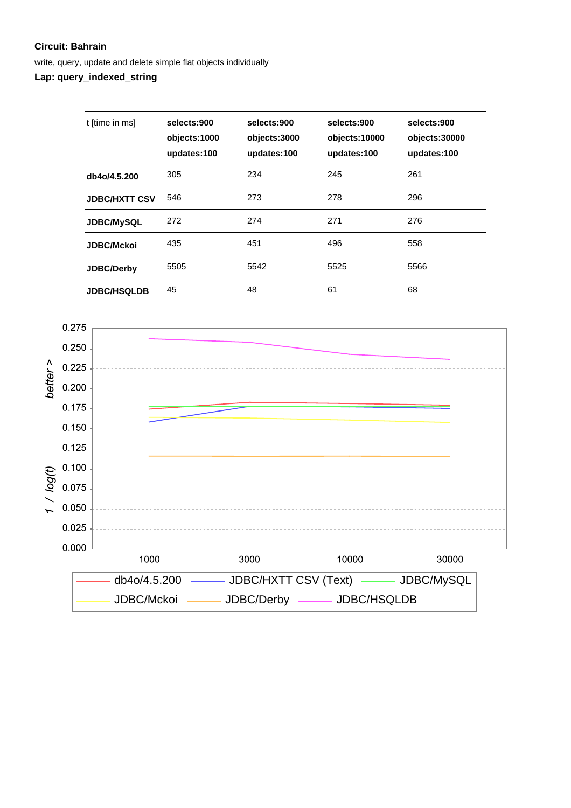write, query, update and delete simple flat objects individually

**Lap: query\_indexed\_string**

| t [time in ms]       | selects:900<br>objects:1000<br>updates:100 | selects:900<br>objects:3000<br>updates:100 | selects:900<br>objects:10000<br>updates:100 | selects:900<br>objects:30000<br>updates:100 |
|----------------------|--------------------------------------------|--------------------------------------------|---------------------------------------------|---------------------------------------------|
| db4o/4.5.200         | 305                                        | 234                                        | 245                                         | 261                                         |
| <b>JDBC/HXTT CSV</b> | 546                                        | 273                                        | 278                                         | 296                                         |
| <b>JDBC/MySQL</b>    | 272                                        | 274                                        | 271                                         | 276                                         |
| <b>JDBC/Mckoi</b>    | 435                                        | 451                                        | 496                                         | 558                                         |
| <b>JDBC/Derby</b>    | 5505                                       | 5542                                       | 5525                                        | 5566                                        |
| <b>JDBC/HSQLDB</b>   | 45                                         | 48                                         | 61                                          | 68                                          |

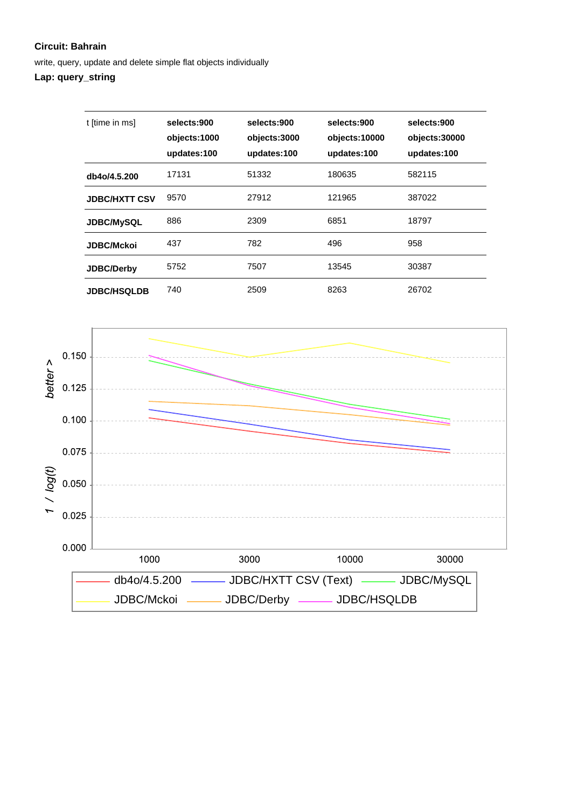write, query, update and delete simple flat objects individually

## **Lap: query\_string**

| t [time in ms]       | selects:900<br>objects:1000<br>updates:100 | selects:900<br>objects:3000<br>updates:100 | selects:900<br>objects:10000<br>updates:100 | selects:900<br>objects:30000<br>updates:100 |
|----------------------|--------------------------------------------|--------------------------------------------|---------------------------------------------|---------------------------------------------|
| db4o/4.5.200         | 17131                                      | 51332                                      | 180635                                      | 582115                                      |
| <b>JDBC/HXTT CSV</b> | 9570                                       | 27912                                      | 121965                                      | 387022                                      |
| <b>JDBC/MySQL</b>    | 886                                        | 2309                                       | 6851                                        | 18797                                       |
| <b>JDBC/Mckoi</b>    | 437                                        | 782                                        | 496                                         | 958                                         |
| <b>JDBC/Derby</b>    | 5752                                       | 7507                                       | 13545                                       | 30387                                       |
| <b>JDBC/HSQLDB</b>   | 740                                        | 2509                                       | 8263                                        | 26702                                       |

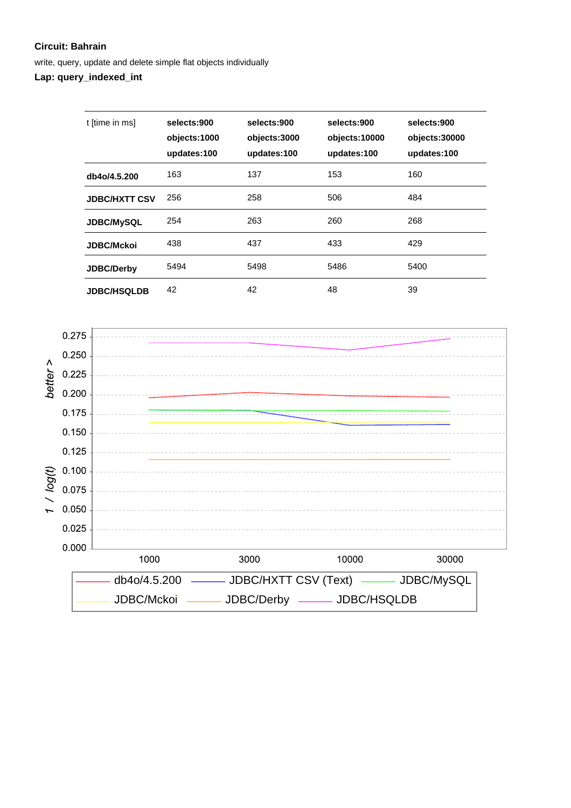write, query, update and delete simple flat objects individually

**Lap: query\_indexed\_int**

| t [time in ms]       | selects:900<br>objects:1000<br>updates:100 | selects:900<br>objects:3000<br>updates:100 | selects:900<br>objects:10000<br>updates:100 | selects:900<br>objects:30000<br>updates:100 |
|----------------------|--------------------------------------------|--------------------------------------------|---------------------------------------------|---------------------------------------------|
| db4o/4.5.200         | 163                                        | 137                                        | 153                                         | 160                                         |
| <b>JDBC/HXTT CSV</b> | 256                                        | 258                                        | 506                                         | 484                                         |
| <b>JDBC/MySQL</b>    | 254                                        | 263                                        | 260                                         | 268                                         |
| <b>JDBC/Mckoi</b>    | 438                                        | 437                                        | 433                                         | 429                                         |
| <b>JDBC/Derby</b>    | 5494                                       | 5498                                       | 5486                                        | 5400                                        |
| <b>JDBC/HSQLDB</b>   | 42                                         | 42                                         | 48                                          | 39                                          |

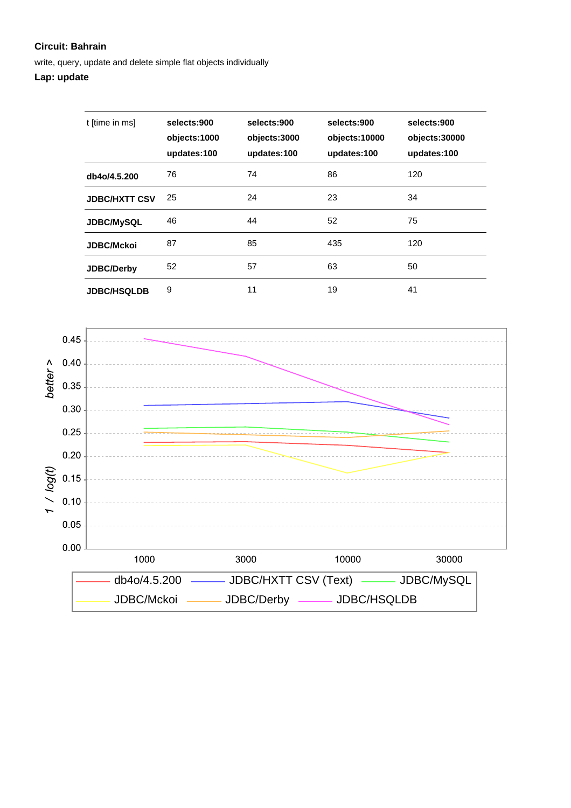write, query, update and delete simple flat objects individually

## **Lap: update**

| t [time in ms]       | selects:900<br>objects:1000<br>updates:100 | selects:900<br>objects:3000<br>updates:100 | selects:900<br>objects:10000<br>updates:100 | selects:900<br>objects:30000<br>updates:100 |
|----------------------|--------------------------------------------|--------------------------------------------|---------------------------------------------|---------------------------------------------|
| db4o/4.5.200         | 76                                         | 74                                         | 86                                          | 120                                         |
| <b>JDBC/HXTT CSV</b> | 25                                         | 24                                         | 23                                          | 34                                          |
| JDBC/MySQL           | 46                                         | 44                                         | 52                                          | 75                                          |
| <b>JDBC/Mckoi</b>    | 87                                         | 85                                         | 435                                         | 120                                         |
| <b>JDBC/Derby</b>    | 52                                         | 57                                         | 63                                          | 50                                          |
| <b>JDBC/HSQLDB</b>   | 9                                          | 11                                         | 19                                          | 41                                          |

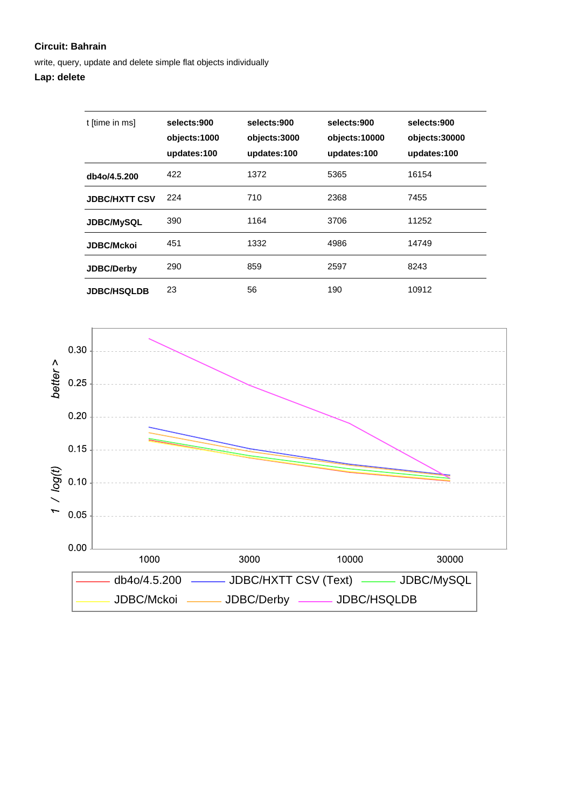write, query, update and delete simple flat objects individually

| t [time in ms]       | selects:900<br>objects:1000<br>updates:100 | selects:900<br>objects:3000<br>updates:100 | selects:900<br>objects:10000<br>updates:100 | selects:900<br>objects:30000<br>updates:100 |
|----------------------|--------------------------------------------|--------------------------------------------|---------------------------------------------|---------------------------------------------|
| db4o/4.5.200         | 422                                        | 1372                                       | 5365                                        | 16154                                       |
| <b>JDBC/HXTT CSV</b> | 224                                        | 710                                        | 2368                                        | 7455                                        |
| <b>JDBC/MySQL</b>    | 390                                        | 1164                                       | 3706                                        | 11252                                       |
| <b>JDBC/Mckoi</b>    | 451                                        | 1332                                       | 4986                                        | 14749                                       |
| <b>JDBC/Derby</b>    | 290                                        | 859                                        | 2597                                        | 8243                                        |
| <b>JDBC/HSQLDB</b>   | 23                                         | 56                                         | 190                                         | 10912                                       |

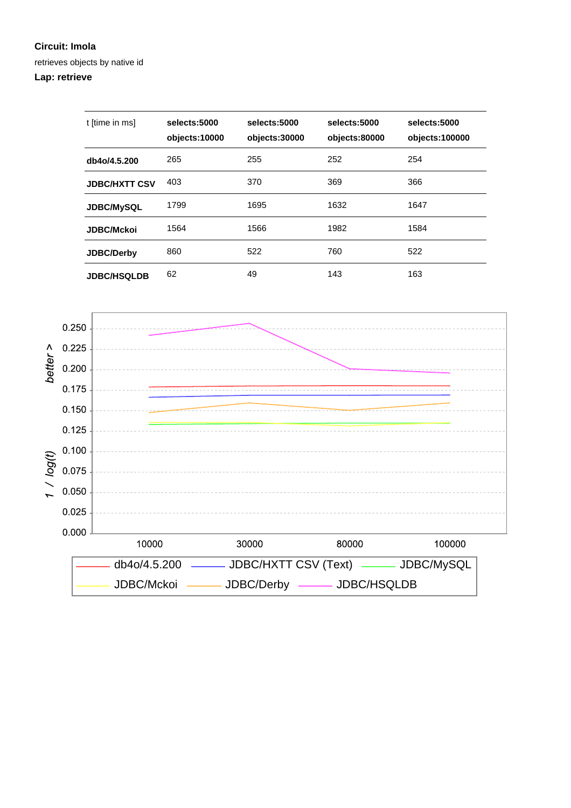#### **Circuit: Imola**

retrieves objects by native id

## **Lap: retrieve**

| t [time in ms]       | selects:5000<br>objects:10000 | selects:5000<br>objects:30000 | selects:5000<br>objects:80000 | selects:5000<br>objects:100000 |
|----------------------|-------------------------------|-------------------------------|-------------------------------|--------------------------------|
| db4o/4.5.200         | 265                           | 255                           | 252                           | 254                            |
| <b>JDBC/HXTT CSV</b> | 403                           | 370                           | 369                           | 366                            |
| <b>JDBC/MySQL</b>    | 1799                          | 1695                          | 1632                          | 1647                           |
| <b>JDBC/Mckoi</b>    | 1564                          | 1566                          | 1982                          | 1584                           |
| <b>JDBC/Derby</b>    | 860                           | 522                           | 760                           | 522                            |
| <b>JDBC/HSQLDB</b>   | 62                            | 49                            | 143                           | 163                            |

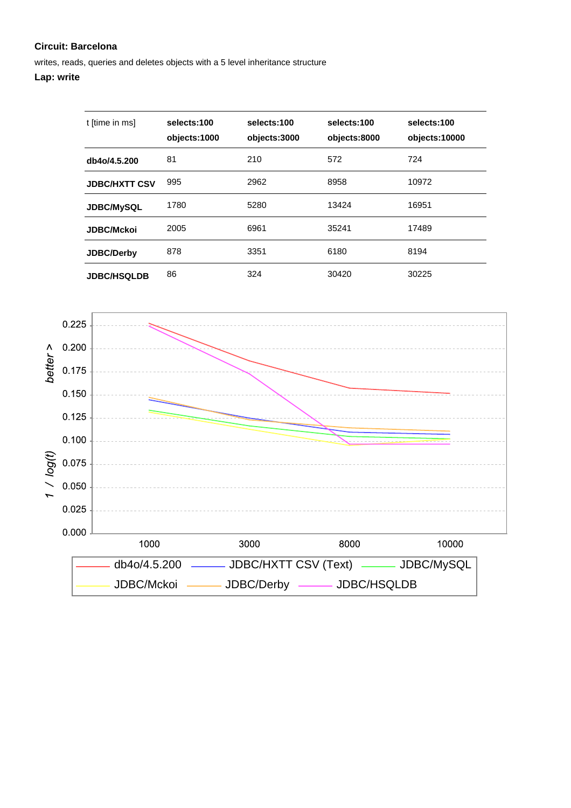writes, reads, queries and deletes objects with a 5 level inheritance structure

| t [time in ms]       | selects:100<br>objects:1000 | selects:100<br>objects:3000 | selects:100<br>objects:8000 | selects:100<br>objects:10000 |
|----------------------|-----------------------------|-----------------------------|-----------------------------|------------------------------|
| db4o/4.5.200         | 81                          | 210                         | 572                         | 724                          |
| <b>JDBC/HXTT CSV</b> | 995                         | 2962                        | 8958                        | 10972                        |
| <b>JDBC/MySQL</b>    | 1780                        | 5280                        | 13424                       | 16951                        |
| <b>JDBC/Mckoi</b>    | 2005                        | 6961                        | 35241                       | 17489                        |
| <b>JDBC/Derby</b>    | 878                         | 3351                        | 6180                        | 8194                         |
| <b>JDBC/HSQLDB</b>   | 86                          | 324                         | 30420                       | 30225                        |

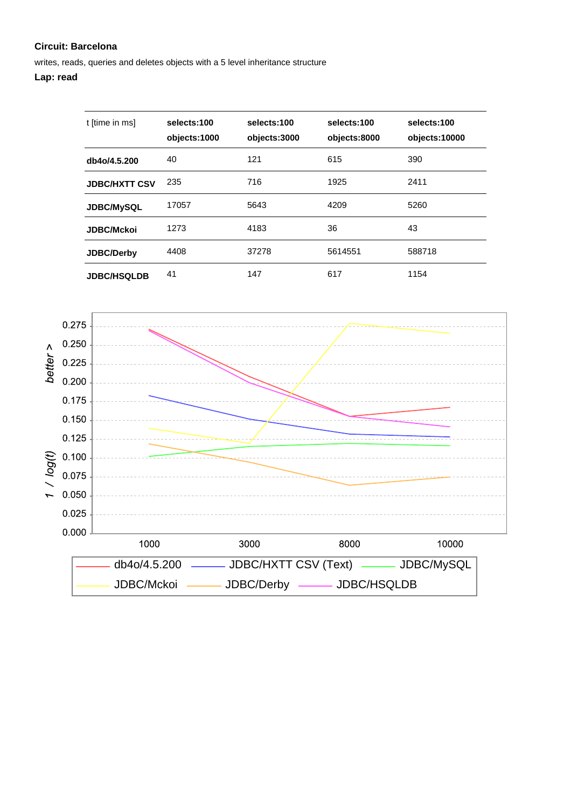writes, reads, queries and deletes objects with a 5 level inheritance structure

## **Lap: read**

| t [time in ms]       | selects:100<br>objects:1000 | selects:100<br>objects:3000 | selects:100<br>objects:8000 | selects:100<br>objects:10000 |
|----------------------|-----------------------------|-----------------------------|-----------------------------|------------------------------|
| db4o/4.5.200         | 40                          | 121                         | 615                         | 390                          |
| <b>JDBC/HXTT CSV</b> | 235                         | 716                         | 1925                        | 2411                         |
| <b>JDBC/MySQL</b>    | 17057                       | 5643                        | 4209                        | 5260                         |
| <b>JDBC/Mckoi</b>    | 1273                        | 4183                        | 36                          | 43                           |
| <b>JDBC/Derby</b>    | 4408                        | 37278                       | 5614551                     | 588718                       |
| <b>JDBC/HSQLDB</b>   | 41                          | 147                         | 617                         | 1154                         |

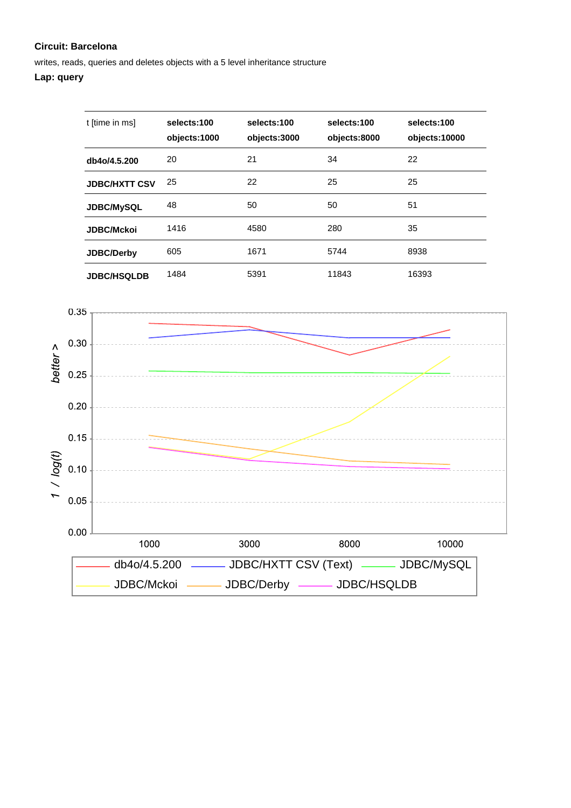writes, reads, queries and deletes objects with a 5 level inheritance structure

## **Lap: query**

| t [time in ms]       | selects:100<br>objects:1000 | selects:100<br>objects:3000 | selects:100<br>objects:8000 | selects:100<br>objects:10000 |
|----------------------|-----------------------------|-----------------------------|-----------------------------|------------------------------|
| db4o/4.5.200         | 20                          | 21                          | 34                          | 22                           |
| <b>JDBC/HXTT CSV</b> | 25                          | 22                          | 25                          | 25                           |
| <b>JDBC/MySQL</b>    | 48                          | 50                          | 50                          | 51                           |
| <b>JDBC/Mckoi</b>    | 1416                        | 4580                        | 280                         | 35                           |
| <b>JDBC/Derby</b>    | 605                         | 1671                        | 5744                        | 8938                         |
| <b>JDBC/HSQLDB</b>   | 1484                        | 5391                        | 11843                       | 16393                        |